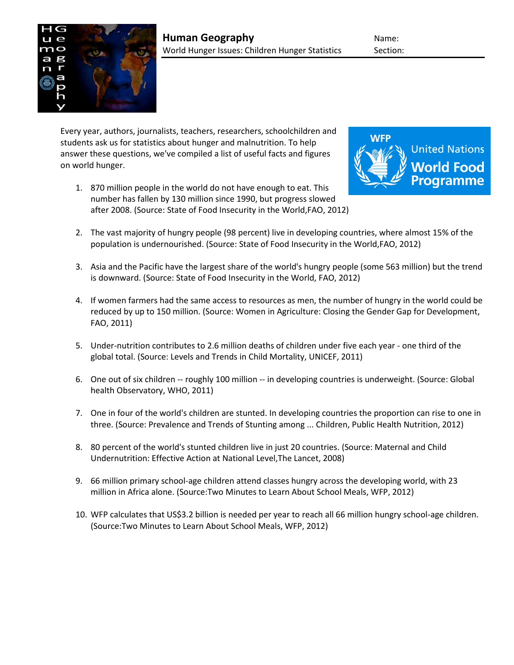

Every year, authors, journalists, teachers, researchers, schoolchildren and students ask us for statistics about hunger and malnutrition. To help answer these questions, we've compiled a list of useful facts and figures on world hunger.

1. 870 million people in the world do not have enough to eat. This number has fallen by 130 million since 1990, but progress slowed after 2008. (Source: State of Food Insecurity in the World,FAO, 2012)



- 2. The vast majority of hungry people (98 percent) live in developing countries, where almost 15% of the population is undernourished. (Source: State of Food Insecurity in the World,FAO, 2012)
- 3. Asia and the Pacific have the largest share of the world's hungry people (some 563 million) but the trend is downward. (Source: State of Food Insecurity in the World, FAO, 2012)
- 4. If women farmers had the same access to resources as men, the number of hungry in the world could be reduced by up to 150 million. (Source: Women in Agriculture: Closing the Gender Gap for Development, FAO, 2011)
- 5. Under-nutrition contributes to 2.6 million deaths of children under five each year one third of the global total. (Source: Levels and Trends in Child Mortality, UNICEF, 2011)
- 6. One out of six children -- roughly 100 million -- in developing countries is underweight. (Source: Global health Observatory, WHO, 2011)
- 7. One in four of the world's children are stunted. In developing countries the proportion can rise to one in three. (Source: Prevalence and Trends of Stunting among ... Children, Public Health Nutrition, 2012)
- 8. 80 percent of the world's stunted children live in just 20 countries. (Source: Maternal and Child Undernutrition: Effective Action at National Level,The Lancet, 2008)
- 9. 66 million primary school-age children attend classes hungry across the developing world, with 23 million in Africa alone. (Source:Two Minutes to Learn About School Meals, WFP, 2012)
- 10. WFP calculates that US\$3.2 billion is needed per year to reach all 66 million hungry school-age children. (Source:Two Minutes to Learn About School Meals, WFP, 2012)